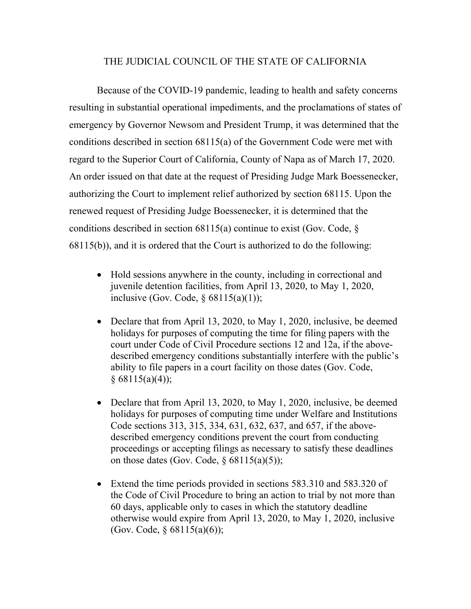## THE JUDICIAL COUNCIL OF THE STATE OF CALIFORNIA

Because of the COVID-19 pandemic, leading to health and safety concerns resulting in substantial operational impediments, and the proclamations of states of emergency by Governor Newsom and President Trump, it was determined that the conditions described in section 68115(a) of the Government Code were met with regard to the Superior Court of California, County of Napa as of March 17, 2020. An order issued on that date at the request of Presiding Judge Mark Boessenecker, authorizing the Court to implement relief authorized by section 68115. Upon the renewed request of Presiding Judge Boessenecker, it is determined that the conditions described in section  $68115(a)$  continue to exist (Gov. Code,  $\S$ ) 68115(b)), and it is ordered that the Court is authorized to do the following:

- Hold sessions anywhere in the county, including in correctional and juvenile detention facilities, from April 13, 2020, to May 1, 2020, inclusive (Gov. Code,  $\delta$  68115(a)(1));
- Declare that from April 13, 2020, to May 1, 2020, inclusive, be deemed holidays for purposes of computing the time for filing papers with the court under Code of Civil Procedure sections 12 and 12a, if the abovedescribed emergency conditions substantially interfere with the public's ability to file papers in a court facility on those dates (Gov. Code,  $§ 68115(a)(4));$
- Declare that from April 13, 2020, to May 1, 2020, inclusive, be deemed holidays for purposes of computing time under Welfare and Institutions Code sections 313, 315, 334, 631, 632, 637, and 657, if the abovedescribed emergency conditions prevent the court from conducting proceedings or accepting filings as necessary to satisfy these deadlines on those dates (Gov. Code,  $\S$  68115(a)(5));
- Extend the time periods provided in sections 583.310 and 583.320 of the Code of Civil Procedure to bring an action to trial by not more than 60 days, applicable only to cases in which the statutory deadline otherwise would expire from April 13, 2020, to May 1, 2020, inclusive (Gov. Code, § 68115(a)(6));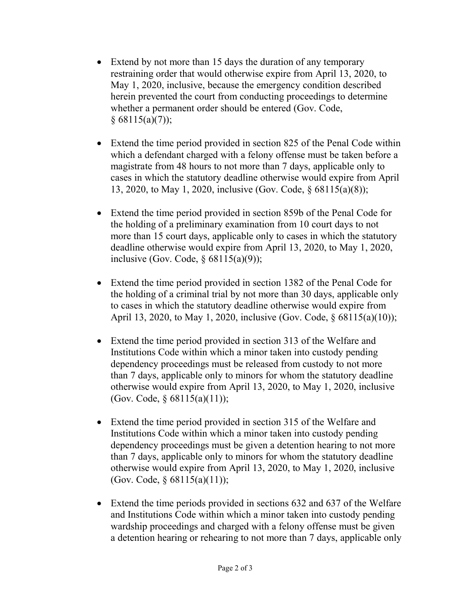- Extend by not more than 15 days the duration of any temporary restraining order that would otherwise expire from April 13, 2020, to May 1, 2020, inclusive, because the emergency condition described herein prevented the court from conducting proceedings to determine whether a permanent order should be entered (Gov. Code,  $§ 68115(a)(7));$
- Extend the time period provided in section 825 of the Penal Code within which a defendant charged with a felony offense must be taken before a magistrate from 48 hours to not more than 7 days, applicable only to cases in which the statutory deadline otherwise would expire from April 13, 2020, to May 1, 2020, inclusive (Gov. Code, § 68115(a)(8));
- Extend the time period provided in section 859b of the Penal Code for the holding of a preliminary examination from 10 court days to not more than 15 court days, applicable only to cases in which the statutory deadline otherwise would expire from April 13, 2020, to May 1, 2020, inclusive (Gov. Code,  $\S$  68115(a)(9));
- Extend the time period provided in section 1382 of the Penal Code for the holding of a criminal trial by not more than 30 days, applicable only to cases in which the statutory deadline otherwise would expire from April 13, 2020, to May 1, 2020, inclusive (Gov. Code, § 68115(a)(10));
- Extend the time period provided in section 313 of the Welfare and Institutions Code within which a minor taken into custody pending dependency proceedings must be released from custody to not more than 7 days, applicable only to minors for whom the statutory deadline otherwise would expire from April 13, 2020, to May 1, 2020, inclusive (Gov. Code, § 68115(a)(11));
- Extend the time period provided in section 315 of the Welfare and Institutions Code within which a minor taken into custody pending dependency proceedings must be given a detention hearing to not more than 7 days, applicable only to minors for whom the statutory deadline otherwise would expire from April 13, 2020, to May 1, 2020, inclusive (Gov. Code, § 68115(a)(11));
- Extend the time periods provided in sections 632 and 637 of the Welfare and Institutions Code within which a minor taken into custody pending wardship proceedings and charged with a felony offense must be given a detention hearing or rehearing to not more than 7 days, applicable only